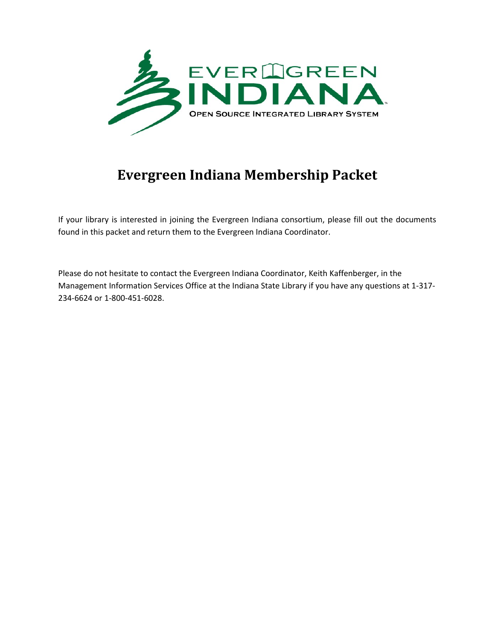

# **Evergreen Indiana Membership Packet**

If your library is interested in joining the Evergreen Indiana consortium, please fill out the documents found in this packet and return them to the Evergreen Indiana Coordinator.

Please do not hesitate to contact the Evergreen Indiana Coordinator, Keith Kaffenberger, in the Management Information Services Office at the Indiana State Library if you have any questions at 1-317- 234-6624 or 1-800-451-6028.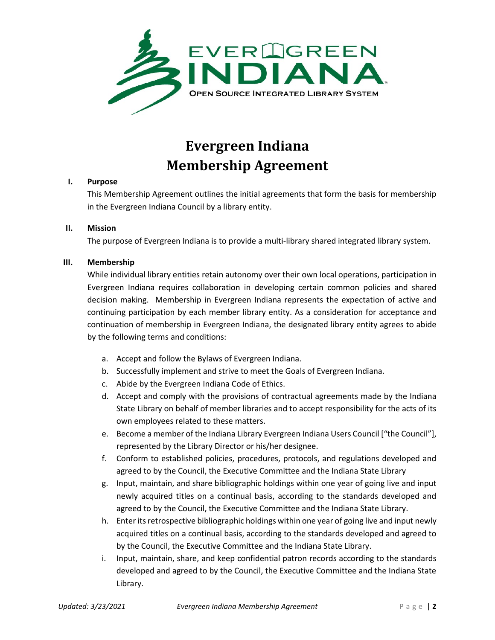

## **Evergreen Indiana Membership Agreement**

#### **I. Purpose**

This Membership Agreement outlines the initial agreements that form the basis for membership in the Evergreen Indiana Council by a library entity.

#### **II. Mission**

The purpose of Evergreen Indiana is to provide a multi-library shared integrated library system.

#### **III. Membership**

While individual library entities retain autonomy over their own local operations, participation in Evergreen Indiana requires collaboration in developing certain common policies and shared decision making. Membership in Evergreen Indiana represents the expectation of active and continuing participation by each member library entity. As a consideration for acceptance and continuation of membership in Evergreen Indiana, the designated library entity agrees to abide by the following terms and conditions:

- a. Accept and follow the Bylaws of Evergreen Indiana.
- b. Successfully implement and strive to meet the Goals of Evergreen Indiana.
- c. Abide by the Evergreen Indiana Code of Ethics.
- d. Accept and comply with the provisions of contractual agreements made by the Indiana State Library on behalf of member libraries and to accept responsibility for the acts of its own employees related to these matters.
- e. Become a member of the Indiana Library Evergreen Indiana Users Council ["the Council"], represented by the Library Director or his/her designee.
- f. Conform to established policies, procedures, protocols, and regulations developed and agreed to by the Council, the Executive Committee and the Indiana State Library
- g. Input, maintain, and share bibliographic holdings within one year of going live and input newly acquired titles on a continual basis, according to the standards developed and agreed to by the Council, the Executive Committee and the Indiana State Library.
- h. Enter its retrospective bibliographic holdings within one year of going live and input newly acquired titles on a continual basis, according to the standards developed and agreed to by the Council, the Executive Committee and the Indiana State Library.
- i. Input, maintain, share, and keep confidential patron records according to the standards developed and agreed to by the Council, the Executive Committee and the Indiana State Library.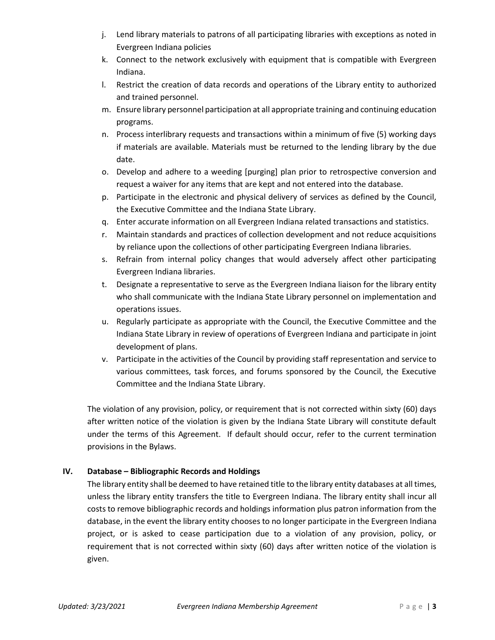- j. Lend library materials to patrons of all participating libraries with exceptions as noted in Evergreen Indiana policies
- k. Connect to the network exclusively with equipment that is compatible with Evergreen Indiana.
- l. Restrict the creation of data records and operations of the Library entity to authorized and trained personnel.
- m. Ensure library personnel participation at all appropriate training and continuing education programs.
- n. Process interlibrary requests and transactions within a minimum of five (5) working days if materials are available. Materials must be returned to the lending library by the due date.
- o. Develop and adhere to a weeding [purging] plan prior to retrospective conversion and request a waiver for any items that are kept and not entered into the database.
- p. Participate in the electronic and physical delivery of services as defined by the Council, the Executive Committee and the Indiana State Library.
- q. Enter accurate information on all Evergreen Indiana related transactions and statistics.
- r. Maintain standards and practices of collection development and not reduce acquisitions by reliance upon the collections of other participating Evergreen Indiana libraries.
- s. Refrain from internal policy changes that would adversely affect other participating Evergreen Indiana libraries.
- t. Designate a representative to serve as the Evergreen Indiana liaison for the library entity who shall communicate with the Indiana State Library personnel on implementation and operations issues.
- u. Regularly participate as appropriate with the Council, the Executive Committee and the Indiana State Library in review of operations of Evergreen Indiana and participate in joint development of plans.
- v. Participate in the activities of the Council by providing staff representation and service to various committees, task forces, and forums sponsored by the Council, the Executive Committee and the Indiana State Library.

The violation of any provision, policy, or requirement that is not corrected within sixty (60) days after written notice of the violation is given by the Indiana State Library will constitute default under the terms of this Agreement. If default should occur, refer to the current termination provisions in the Bylaws.

### **IV. Database – Bibliographic Records and Holdings**

The library entity shall be deemed to have retained title to the library entity databases at all times, unless the library entity transfers the title to Evergreen Indiana. The library entity shall incur all costs to remove bibliographic records and holdings information plus patron information from the database, in the event the library entity chooses to no longer participate in the Evergreen Indiana project, or is asked to cease participation due to a violation of any provision, policy, or requirement that is not corrected within sixty (60) days after written notice of the violation is given.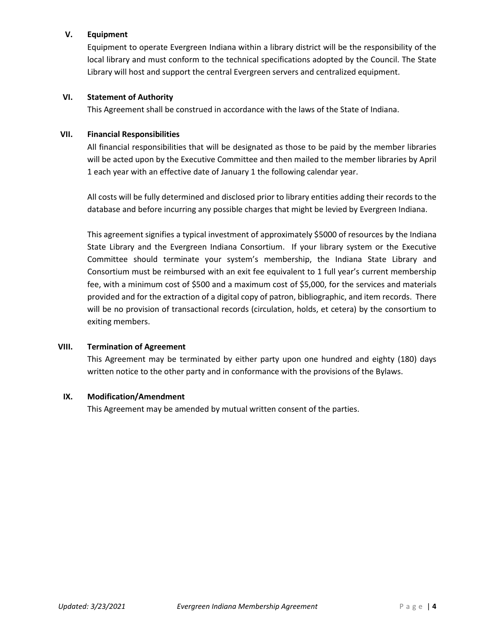#### **V. Equipment**

Equipment to operate Evergreen Indiana within a library district will be the responsibility of the local library and must conform to the technical specifications adopted by the Council. The State Library will host and support the central Evergreen servers and centralized equipment.

#### **VI. Statement of Authority**

This Agreement shall be construed in accordance with the laws of the State of Indiana.

#### **VII. Financial Responsibilities**

All financial responsibilities that will be designated as those to be paid by the member libraries will be acted upon by the Executive Committee and then mailed to the member libraries by April 1 each year with an effective date of January 1 the following calendar year.

All costs will be fully determined and disclosed prior to library entities adding their records to the database and before incurring any possible charges that might be levied by Evergreen Indiana.

This agreement signifies a typical investment of approximately \$5000 of resources by the Indiana State Library and the Evergreen Indiana Consortium. If your library system or the Executive Committee should terminate your system's membership, the Indiana State Library and Consortium must be reimbursed with an exit fee equivalent to 1 full year's current membership fee, with a minimum cost of \$500 and a maximum cost of \$5,000, for the services and materials provided and for the extraction of a digital copy of patron, bibliographic, and item records. There will be no provision of transactional records (circulation, holds, et cetera) by the consortium to exiting members.

#### **VIII. Termination of Agreement**

This Agreement may be terminated by either party upon one hundred and eighty (180) days written notice to the other party and in conformance with the provisions of the Bylaws.

#### **IX. Modification/Amendment**

This Agreement may be amended by mutual written consent of the parties.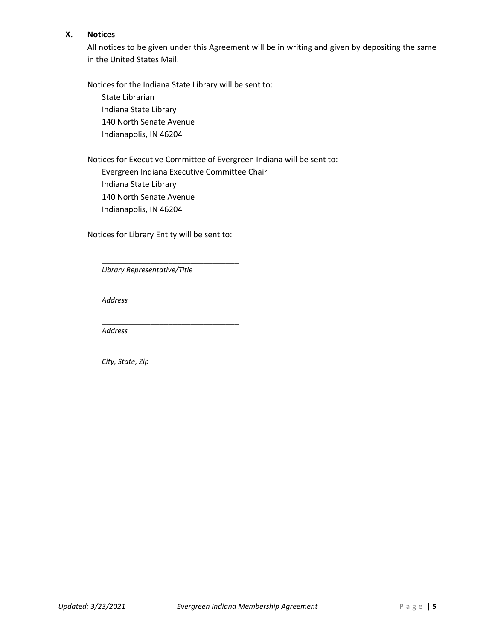#### **X. Notices**

All notices to be given under this Agreement will be in writing and given by depositing the same in the United States Mail.

Notices for the Indiana State Library will be sent to:

State Librarian Indiana State Library 140 North Senate Avenue Indianapolis, IN 46204

Notices for Executive Committee of Evergreen Indiana will be sent to: Evergreen Indiana Executive Committee Chair Indiana State Library 140 North Senate Avenue Indianapolis, IN 46204

Notices for Library Entity will be sent to:

\_\_\_\_\_\_\_\_\_\_\_\_\_\_\_\_\_\_\_\_\_\_\_\_\_\_\_\_\_\_\_

\_\_\_\_\_\_\_\_\_\_\_\_\_\_\_\_\_\_\_\_\_\_\_\_\_\_\_\_\_\_\_

\_\_\_\_\_\_\_\_\_\_\_\_\_\_\_\_\_\_\_\_\_\_\_\_\_\_\_\_\_\_\_

\_\_\_\_\_\_\_\_\_\_\_\_\_\_\_\_\_\_\_\_\_\_\_\_\_\_\_\_\_\_\_ *Library Representative/Title*

*Address*

*Address*

*City, State, Zip*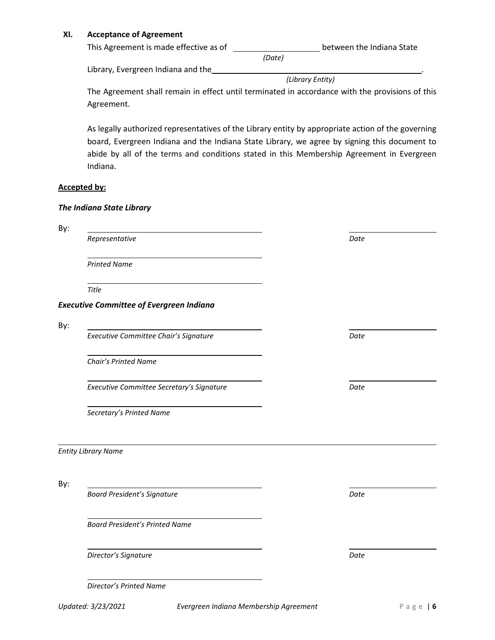#### **XI. Acceptance of Agreement**

| This Agreement is made effective as of | between the Indiana State |  |
|----------------------------------------|---------------------------|--|
|                                        | (Date)                    |  |

Library, Evergreen Indiana and the\_

*(Library Entity)*

The Agreement shall remain in effect until terminated in accordance with the provisions of this Agreement.

As legally authorized representatives of the Library entity by appropriate action of the governing board, Evergreen Indiana and the Indiana State Library, we agree by signing this document to abide by all of the terms and conditions stated in this Membership Agreement in Evergreen Indiana.

#### **Accepted by:**

#### *The Indiana State Library*

| By: |                                                 |      |
|-----|-------------------------------------------------|------|
|     | Representative                                  | Date |
|     | <b>Printed Name</b>                             |      |
|     | Title                                           |      |
|     | <b>Executive Committee of Evergreen Indiana</b> |      |
| By: |                                                 |      |
|     | Executive Committee Chair's Signature           | Date |
|     | Chair's Printed Name                            |      |
|     | Executive Committee Secretary's Signature       | Date |
|     | Secretary's Printed Name                        |      |
|     | <b>Entity Library Name</b>                      |      |
| By: |                                                 |      |
|     | <b>Board President's Signature</b>              | Date |
|     | <b>Board President's Printed Name</b>           |      |
|     | Director's Signature                            | Date |
|     | Director's Printed Name                         |      |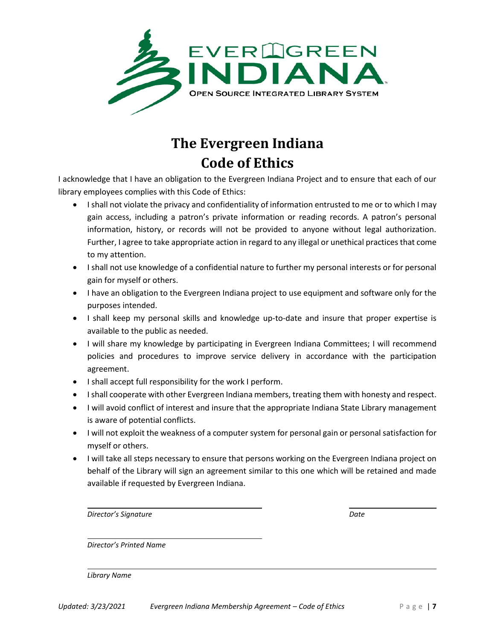

# **The Evergreen Indiana Code of Ethics**

I acknowledge that I have an obligation to the Evergreen Indiana Project and to ensure that each of our library employees complies with this Code of Ethics:

- I shall not violate the privacy and confidentiality of information entrusted to me or to which I may gain access, including a patron's private information or reading records. A patron's personal information, history, or records will not be provided to anyone without legal authorization. Further, I agree to take appropriate action in regard to any illegal or unethical practices that come to my attention.
- I shall not use knowledge of a confidential nature to further my personal interests or for personal gain for myself or others.
- I have an obligation to the Evergreen Indiana project to use equipment and software only for the purposes intended.
- I shall keep my personal skills and knowledge up-to-date and insure that proper expertise is available to the public as needed.
- I will share my knowledge by participating in Evergreen Indiana Committees; I will recommend policies and procedures to improve service delivery in accordance with the participation agreement.
- I shall accept full responsibility for the work I perform.
- I shall cooperate with other Evergreen Indiana members, treating them with honesty and respect.
- I will avoid conflict of interest and insure that the appropriate Indiana State Library management is aware of potential conflicts.
- I will not exploit the weakness of a computer system for personal gain or personal satisfaction for myself or others.
- I will take all steps necessary to ensure that persons working on the Evergreen Indiana project on behalf of the Library will sign an agreement similar to this one which will be retained and made available if requested by Evergreen Indiana.

| Director's Signature | Date |
|----------------------|------|
|                      |      |

*Director's Printed Name*

*Library Name*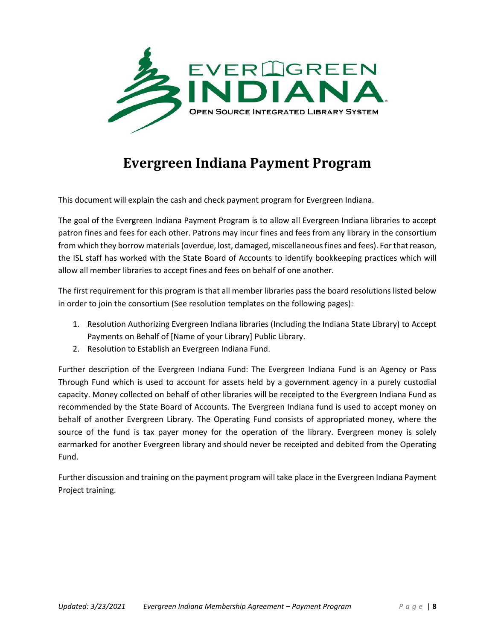

## **Evergreen Indiana Payment Program**

This document will explain the cash and check payment program for Evergreen Indiana.

The goal of the Evergreen Indiana Payment Program is to allow all Evergreen Indiana libraries to accept patron fines and fees for each other. Patrons may incur fines and fees from any library in the consortium from which they borrow materials (overdue, lost, damaged, miscellaneous fines and fees). For that reason, the ISL staff has worked with the State Board of Accounts to identify bookkeeping practices which will allow all member libraries to accept fines and fees on behalf of one another.

The first requirement for this program is that all member libraries pass the board resolutions listed below in order to join the consortium (See resolution templates on the following pages):

- 1. Resolution Authorizing Evergreen Indiana libraries (Including the Indiana State Library) to Accept Payments on Behalf of [Name of your Library] Public Library.
- 2. Resolution to Establish an Evergreen Indiana Fund.

Further description of the Evergreen Indiana Fund: The Evergreen Indiana Fund is an Agency or Pass Through Fund which is used to account for assets held by a government agency in a purely custodial capacity. Money collected on behalf of other libraries will be receipted to the Evergreen Indiana Fund as recommended by the State Board of Accounts. The Evergreen Indiana fund is used to accept money on behalf of another Evergreen Library. The Operating Fund consists of appropriated money, where the source of the fund is tax payer money for the operation of the library. Evergreen money is solely earmarked for another Evergreen library and should never be receipted and debited from the Operating Fund.

Further discussion and training on the payment program will take place in the Evergreen Indiana Payment Project training.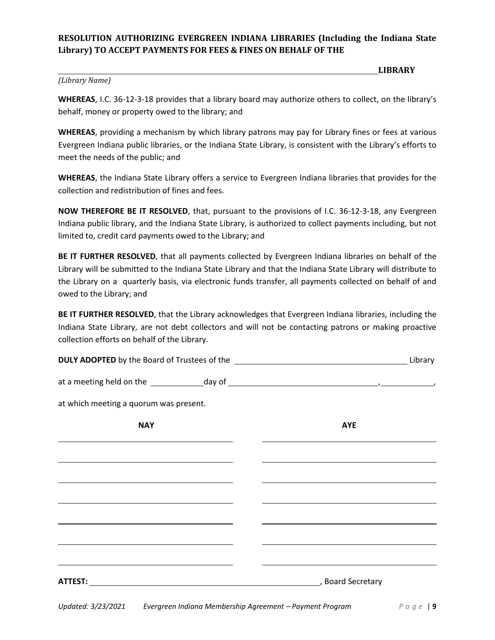### **RESOLUTION AUTHORIZING EVERGREEN INDIANA LIBRARIES (Including the Indiana State Library) TO ACCEPT PAYMENTS FOR FEES & FINES ON BEHALF OF THE**

#### *(Library Name)*

**LIBRARY** 

**WHEREAS**, I.C. 36-12-3-18 provides that a library board may authorize others to collect, on the library's behalf, money or property owed to the library; and

**WHEREAS**, providing a mechanism by which library patrons may pay for Library fines or fees at various Evergreen Indiana public libraries, or the Indiana State Library, is consistent with the Library's efforts to meet the needs of the public; and

**WHEREAS**, the Indiana State Library offers a service to Evergreen Indiana libraries that provides for the collection and redistribution of fines and fees.

**NOW THEREFORE BE IT RESOLVED**, that, pursuant to the provisions of I.C. 36-12-3-18, any Evergreen Indiana public library, and the Indiana State Library, is authorized to collect payments including, but not limited to, credit card payments owed to the Library; and

**BE IT FURTHER RESOLVED**, that all payments collected by Evergreen Indiana libraries on behalf of the Library will be submitted to the Indiana State Library and that the Indiana State Library will distribute to the Library on a quarterly basis, via electronic funds transfer, all payments collected on behalf of and owed to the Library; and

**BE IT FURTHER RESOLVED**, that the Library acknowledges that Evergreen Indiana libraries, including the Indiana State Library, are not debt collectors and will not be contacting patrons or making proactive collection efforts on behalf of the Library.

| at which meeting a quorum was present.                                                                                                                                                                                        |                                                                                                                                                                                                                                      |
|-------------------------------------------------------------------------------------------------------------------------------------------------------------------------------------------------------------------------------|--------------------------------------------------------------------------------------------------------------------------------------------------------------------------------------------------------------------------------------|
| <b>NAY</b>                                                                                                                                                                                                                    | <b>AYE</b>                                                                                                                                                                                                                           |
| the control of the control of the control of the control of the control of the control of the control of the control of the control of the control of the control of the control of the control of the control of the control | <u>state and the state of the state of the state of the state of the state of the state of the state of the state of the state of the state of the state of the state of the state of the state of the state of the state of the</u> |
|                                                                                                                                                                                                                               | and the control of the control of the control of the control of the control of the control of the control of the                                                                                                                     |
| <u> 1989 - Johann Stoff, amerikansk politiker (* 1908)</u>                                                                                                                                                                    | the control of the control of the control of the control of the control of the control of the control of the control of the control of the control of the control of the control of the control of the control of the control        |
| <u> 1989 - Johann Stoff, amerikansk politiker (* 1908)</u>                                                                                                                                                                    | the control of the control of the control of the control of the control of the control of the control of the control of the control of the control of the control of the control of the control of the control of the control        |
|                                                                                                                                                                                                                               |                                                                                                                                                                                                                                      |
| the control of the control of the control of the control of the control of the control of the control of the control of the control of the control of the control of the control of the control of the control of the control | and the control of the control of the control of the control of the control of the control of the control of the                                                                                                                     |
| ATTEST: Board Secretary                                                                                                                                                                                                       |                                                                                                                                                                                                                                      |